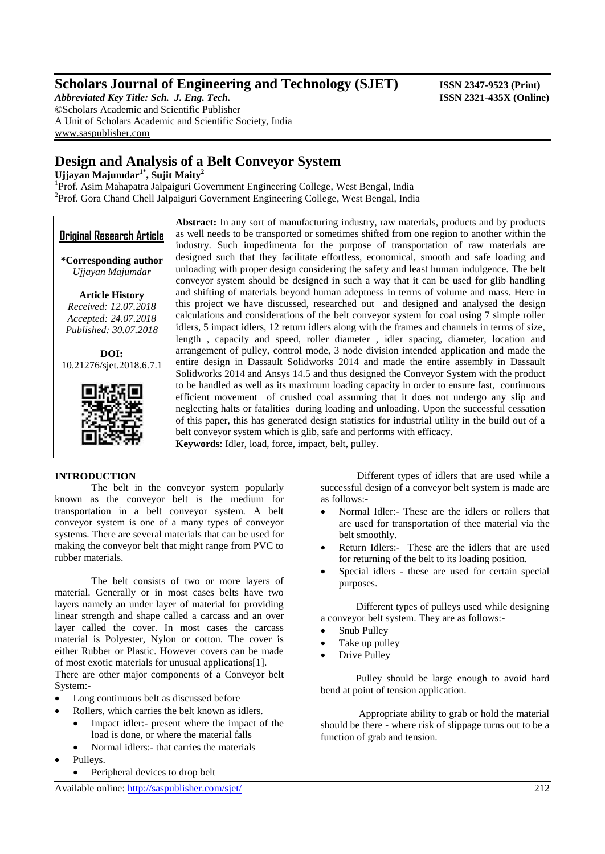## **Scholars Journal of Engineering and Technology (SJET) ISSN 2347-9523 (Print)**

*Abbreviated Key Title: Sch. J. Eng. Tech.* **ISSN 2321-435X (Online)** ©Scholars Academic and Scientific Publisher A Unit of Scholars Academic and Scientific Society, India [www.saspublisher.com](http://www.saspublisher.com/)

## **Design and Analysis of a Belt Conveyor System**

**Ujjayan Majumdar1\* , Sujit Maity<sup>2</sup>**

<sup>1</sup>Prof. Asim Mahapatra Jalpaiguri Government Engineering College, West Bengal, India <sup>2</sup>Prof. Gora Chand Chell Jalpaiguri Government Engineering College, West Bengal, India

**Original Research Article \*Corresponding author** *Ujjayan Majumdar* **Article History** *Received: 12.07.2018 Accepted: 24.07.2018 Published: 30.07.2018* **DOI:** 10.21276/sjet.2018.6.7.1 **Abstract:** In any sort of manufacturing industry, raw materials, products and by products as well needs to be transported or sometimes shifted from one region to another within the industry. Such impedimenta for the purpose of transportation of raw materials are designed such that they facilitate effortless, economical, smooth and safe loading and unloading with proper design considering the safety and least human indulgence. The belt conveyor system should be designed in such a way that it can be used for glib handling and shifting of materials beyond human adeptness in terms of volume and mass. Here in this project we have discussed, researched out and designed and analysed the design calculations and considerations of the belt conveyor system for coal using 7 simple roller idlers, 5 impact idlers, 12 return idlers along with the frames and channels in terms of size, length , capacity and speed, roller diameter , idler spacing, diameter, location and arrangement of pulley, control mode, 3 node division intended application and made the entire design in Dassault Solidworks 2014 and made the entire assembly in Dassault Solidworks 2014 and Ansys 14.5 and thus designed the Conveyor System with the product to be handled as well as its maximum loading capacity in order to ensure fast, continuous efficient movement of crushed coal assuming that it does not undergo any slip and neglecting halts or fatalities during loading and unloading. Upon the successful cessation of this paper, this has generated design statistics for industrial utility in the build out of a belt conveyor system which is glib, safe and performs with efficacy. **Keywords**: Idler, load, force, impact, belt, pulley.

## **INTRODUCTION**

The belt in the conveyor system popularly known as the conveyor belt is the medium for transportation in a belt conveyor system. A belt conveyor system is one of a many types of conveyor systems. There are several materials that can be used for making the conveyor belt that might range from PVC to rubber materials.

The belt consists of two or more layers of material. Generally or in most cases belts have two layers namely an under layer of material for providing linear strength and shape called a carcass and an over layer called the cover. In most cases the carcass material is Polyester, Nylon or cotton. The cover is either Rubber or Plastic. However covers can be made of most exotic materials for unusual applications[1]. There are other major components of a Conveyor belt

System:-

- Long continuous belt as discussed before
- Rollers, which carries the belt known as idlers.
	- Impact idler:- present where the impact of the load is done, or where the material falls
	- Normal idlers:- that carries the materials
- Pulleys.
	- Peripheral devices to drop belt

Different types of idlers that are used while a successful design of a conveyor belt system is made are as follows:-

- Normal Idler:- These are the idlers or rollers that are used for transportation of thee material via the belt smoothly.
- Return Idlers:- These are the idlers that are used for returning of the belt to its loading position.
- Special idlers these are used for certain special purposes.

 Different types of pulleys used while designing a conveyor belt system. They are as follows:-

- Snub Pulley
- Take up pulley
- Drive Pulley

 Pulley should be large enough to avoid hard bend at point of tension application.

 Appropriate ability to grab or hold the material should be there - where risk of slippage turns out to be a function of grab and tension.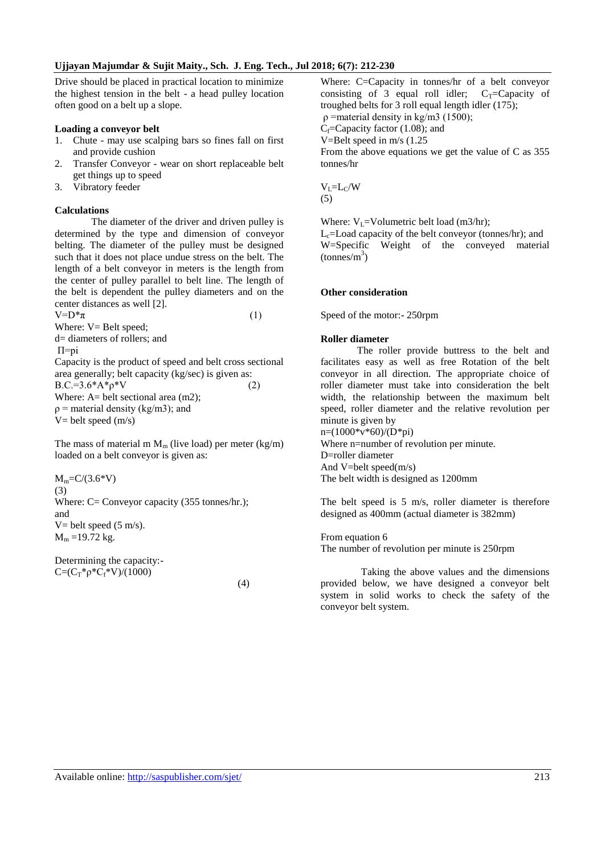Drive should be placed in practical location to minimize the highest tension in the belt - a head pulley location often good on a belt up a slope.

#### **Loading a conveyor belt**

- 1. Chute may use scalping bars so fines fall on first and provide cushion
- 2. Transfer Conveyor wear on short replaceable belt get things up to speed
- 3. Vibratory feeder

#### **Calculations**

The diameter of the driver and driven pulley is determined by the type and dimension of conveyor belting. The diameter of the pulley must be designed such that it does not place undue stress on the belt. The length of a belt conveyor in meters is the length from the center of pulley parallel to belt line. The length of the belt is dependent the pulley diameters and on the center distances as well [2].  $V=D^*\pi$  (1)

Where:  $V =$  Belt speed;

d= diameters of rollers; and

Π=pi

Capacity is the product of speed and belt cross sectional area generally; belt capacity (kg/sec) is given as:  $B.C.=3.6*A*p*V$  (2) Where:  $A=$  belt sectional area (m2);  $p =$  material density (kg/m3); and  $V=$  belt speed  $(m/s)$ 

The mass of material m  $M_m$  (live load) per meter (kg/m) loaded on a belt conveyor is given as:

 $M_m = C/(3.6*V)$ (3) Where: C= Conveyor capacity (355 tonnes/hr.); and V= belt speed  $(5 \text{ m/s})$ .  $M_m = 19.72$  kg.

Determining the capacity:-  $C=(C_T^*p^*C_f^*V)/(1000)$ 

(4)

Where: C=Capacity in tonnes/hr of a belt conveyor consisting of 3 equal roll idler;  $C_T = Capacity$  of troughed belts for 3 roll equal length idler (175);  $ρ$  =material density in kg/m3 (1500);  $C_f$ =Capacity factor (1.08); and V=Belt speed in m/s (1.25 From the above equations we get the value of C as 355 tonnes/hr

 $V_I = L_C/W$ (5)

Where:  $V_1$ =Volumetric belt load (m3/hr);

 $L<sub>c</sub>=$  Load capacity of the belt conveyor (tonnes/hr); and W=Specific Weight of the conveyed material  $(tonnes/m<sup>3</sup>)$ 

#### **Other consideration**

Speed of the motor:- 250rpm

#### **Roller diameter**

The roller provide buttress to the belt and facilitates easy as well as free Rotation of the belt conveyor in all direction. The appropriate choice of roller diameter must take into consideration the belt width, the relationship between the maximum belt speed, roller diameter and the relative revolution per minute is given by  $n=(1000*v*60)/(D*pi)$ 

Where n=number of revolution per minute. D=roller diameter And V=belt speed(m/s) The belt width is designed as 1200mm

The belt speed is 5 m/s, roller diameter is therefore designed as 400mm (actual diameter is 382mm)

From equation 6 The number of revolution per minute is 250rpm

 Taking the above values and the dimensions provided below, we have designed a conveyor belt system in solid works to check the safety of the conveyor belt system.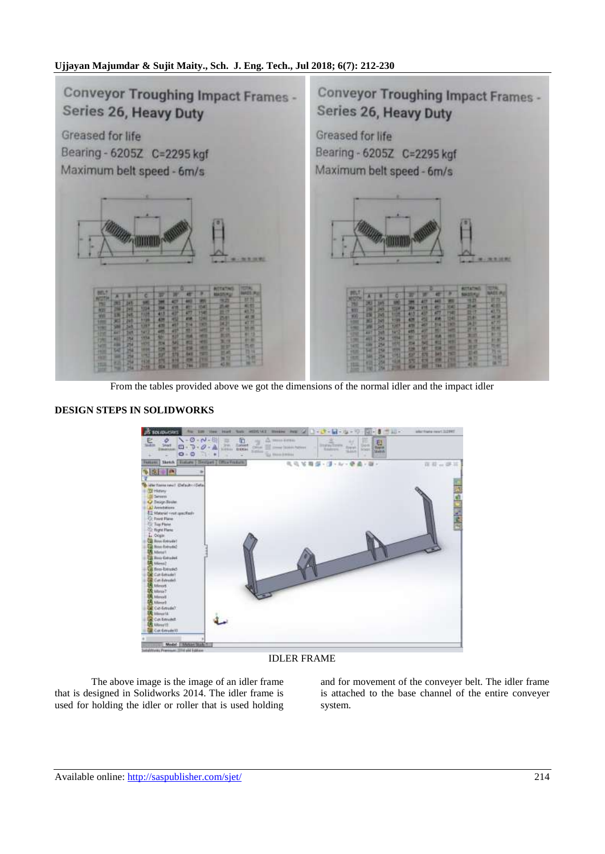

From the tables provided above we got the dimensions of the normal idler and the impact idler

## **DESIGN STEPS IN SOLIDWORKS**



IDLER FRAME

The above image is the image of an idler frame that is designed in Solidworks 2014. The idler frame is used for holding the idler or roller that is used holding

and for movement of the conveyer belt. The idler frame is attached to the base channel of the entire conveyer system.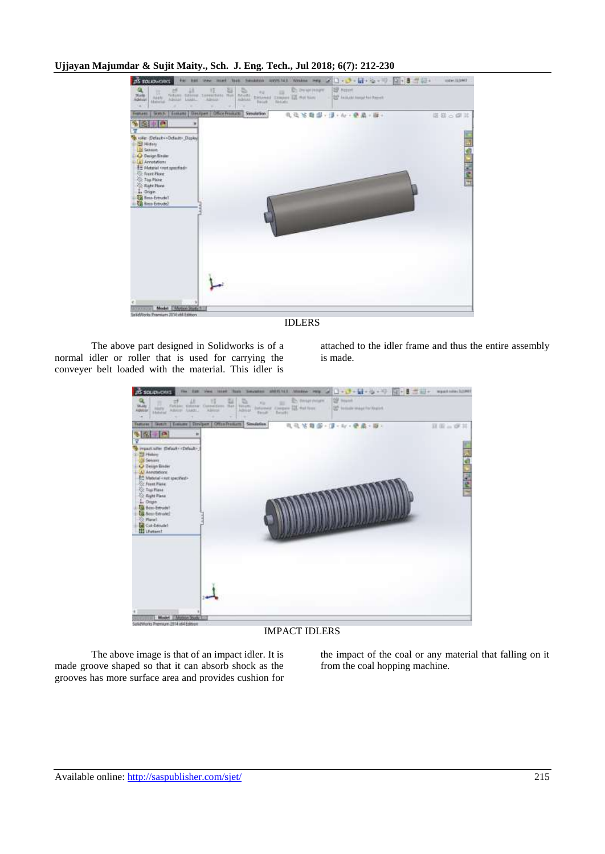

IDLERS

The above part designed in Solidworks is of a normal idler or roller that is used for carrying the conveyer belt loaded with the material. This idler is

attached to the idler frame and thus the entire assembly is made.



#### IMPACT IDLERS

The above image is that of an impact idler. It is made groove shaped so that it can absorb shock as the grooves has more surface area and provides cushion for the impact of the coal or any material that falling on it from the coal hopping machine.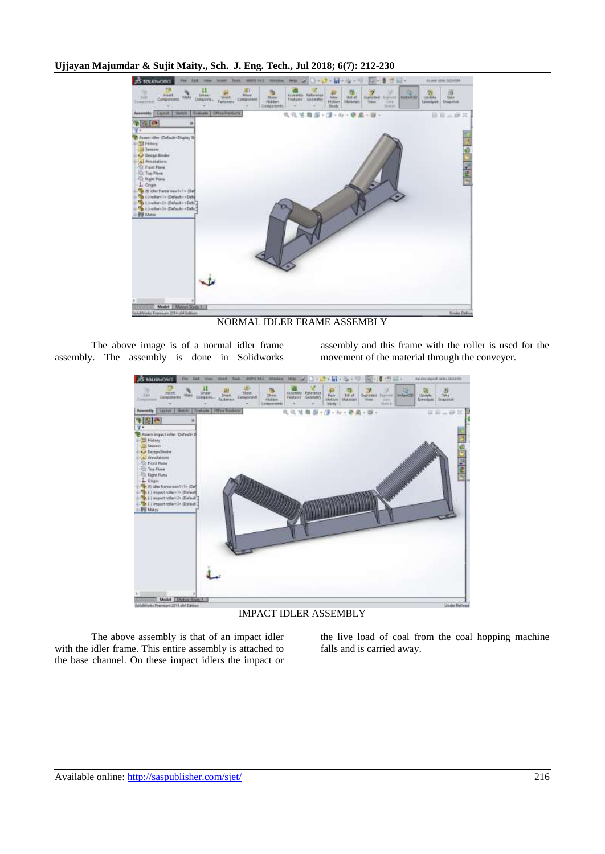

NORMAL IDLER FRAME ASSEMBLY

The above image is of a normal idler frame assembly. The assembly is done in Solidworks assembly and this frame with the roller is used for the movement of the material through the conveyer.



IMPACT IDLER ASSEMBLY

The above assembly is that of an impact idler with the idler frame. This entire assembly is attached to the base channel. On these impact idlers the impact or the live load of coal from the coal hopping machine falls and is carried away.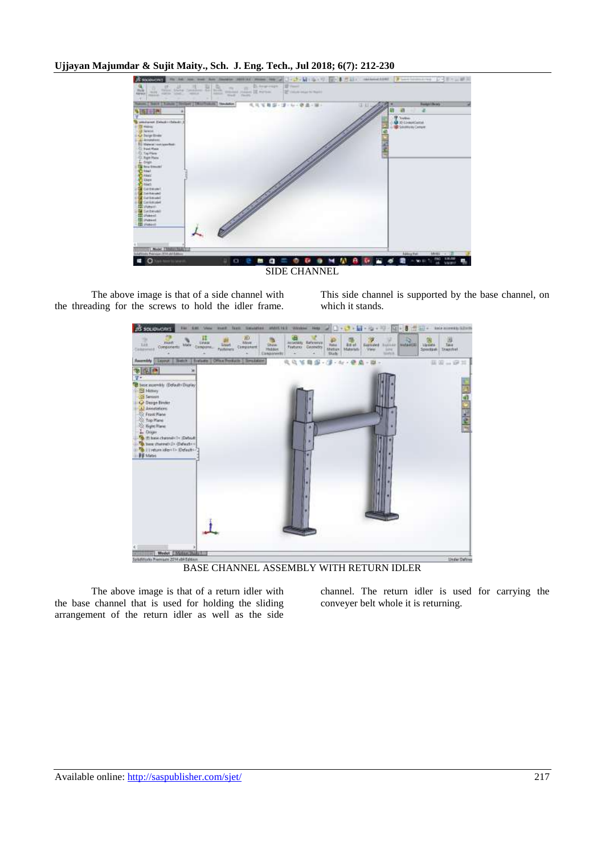

The above image is that of a side channel with the threading for the screws to hold the idler frame.

This side channel is supported by the base channel, on which it stands.



BASE CHANNEL ASSEMBLY WITH RETURN IDLER

The above image is that of a return idler with the base channel that is used for holding the sliding arrangement of the return idler as well as the side

channel. The return idler is used for carrying the conveyer belt whole it is returning.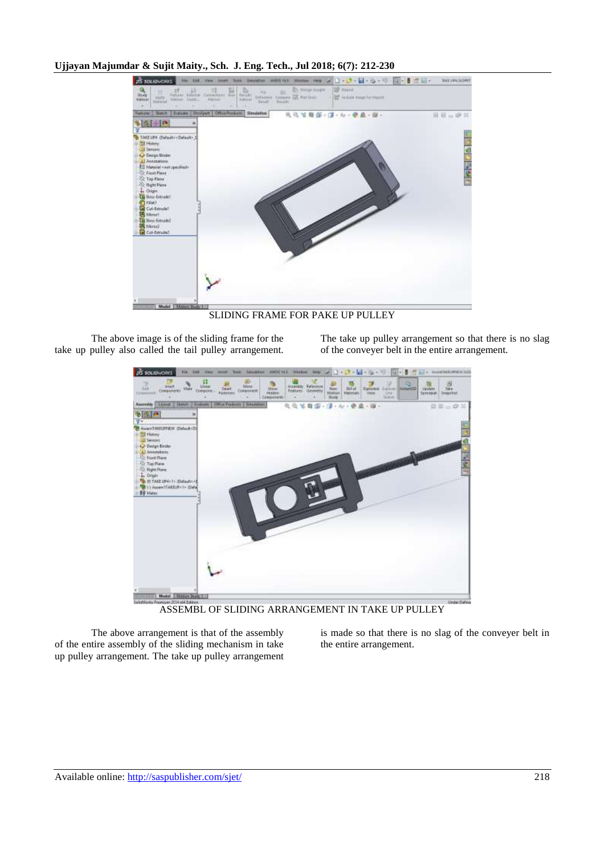

SLIDING FRAME FOR PAKE UP PULLEY

The above image is of the sliding frame for the take up pulley also called the tail pulley arrangement. The take up pulley arrangement so that there is no slag of the conveyer belt in the entire arrangement.



ASSEMBL OF SLIDING ARRANGEMENT IN TAKE UP PULLEY

The above arrangement is that of the assembly of the entire assembly of the sliding mechanism in take up pulley arrangement. The take up pulley arrangement is made so that there is no slag of the conveyer belt in the entire arrangement.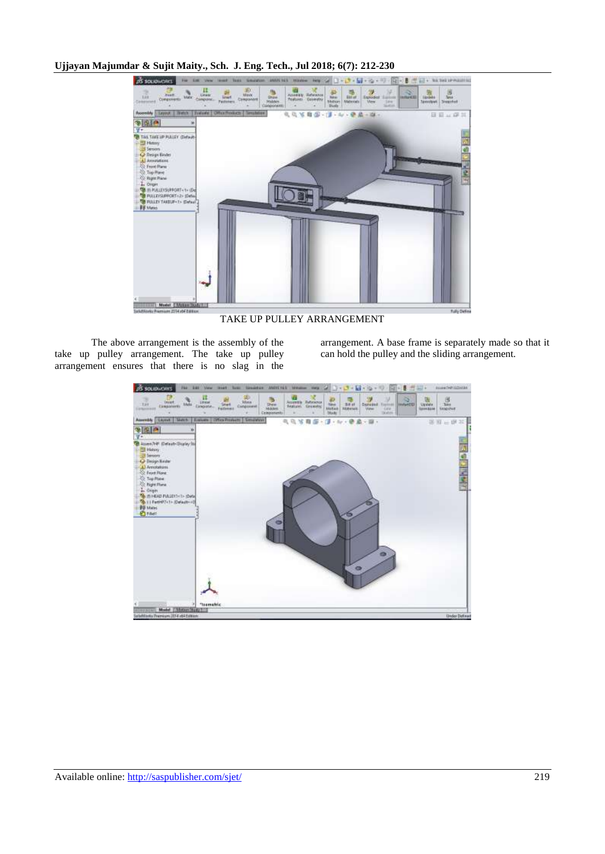

TAKE UP PULLEY ARRANGEMENT

The above arrangement is the assembly of the take up pulley arrangement. The take up pulley arrangement ensures that there is no slag in the

arrangement. A base frame is separately made so that it can hold the pulley and the sliding arrangement.

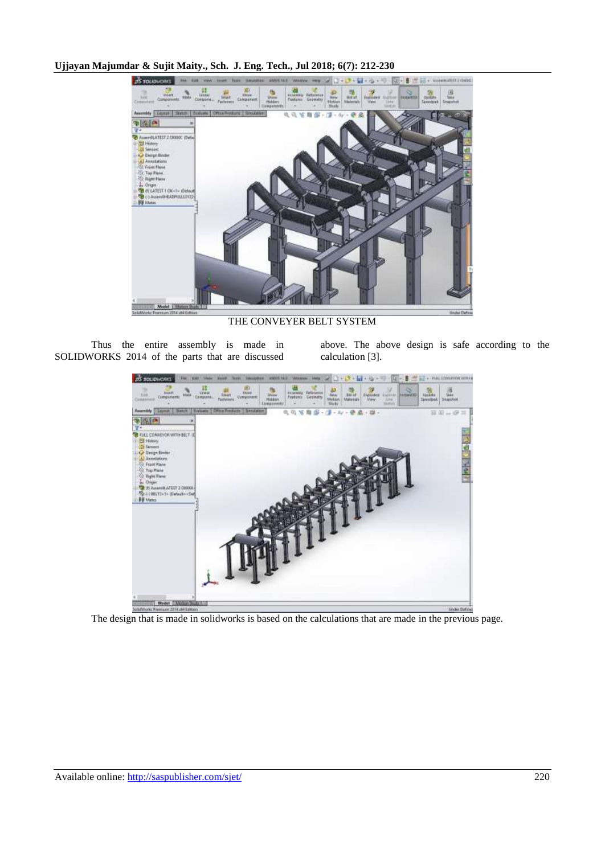

THE CONVEYER BELT SYSTEM

Thus the entire assembly is made in SOLIDWORKS 2014 of the parts that are discussed above. The above design is safe according to the calculation [3].



The design that is made in solidworks is based on the calculations that are made in the previous page.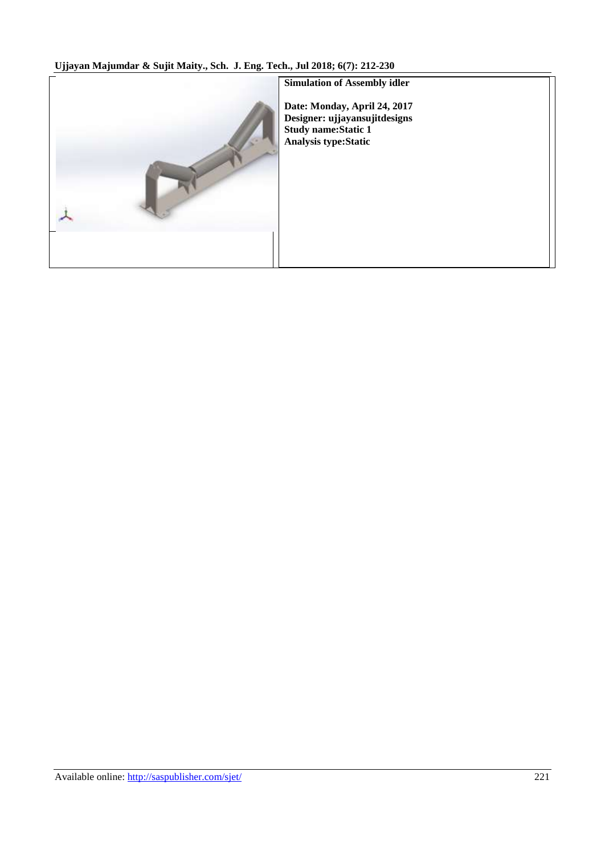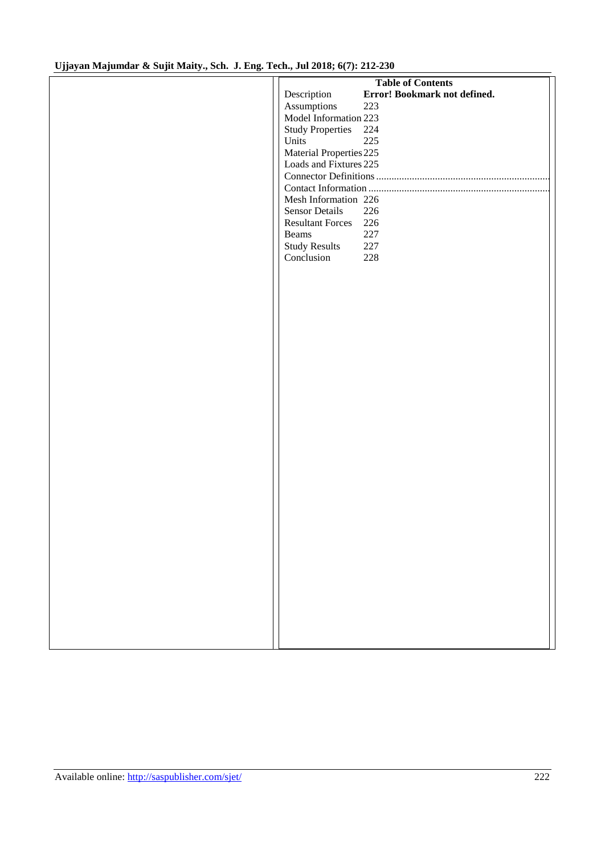| <b>Table of Contents</b>                    |  |
|---------------------------------------------|--|
| Error! Bookmark not defined.<br>Description |  |
|                                             |  |
| Assumptions<br>223                          |  |
| Model Information 223                       |  |
| Study Properties 224                        |  |
| 225<br>Units                                |  |
| Material Properties 225                     |  |
| Loads and Fixtures 225                      |  |
|                                             |  |
|                                             |  |
| Mesh Information 226                        |  |
| <b>Sensor Details</b><br>226                |  |
| Resultant Forces 226                        |  |
| 227<br>Beams                                |  |
| <b>Study Results</b><br>$227\,$             |  |
| Conclusion<br>228                           |  |
|                                             |  |
|                                             |  |
|                                             |  |
|                                             |  |
|                                             |  |
|                                             |  |
|                                             |  |
|                                             |  |
|                                             |  |
|                                             |  |
|                                             |  |
|                                             |  |
|                                             |  |
|                                             |  |
|                                             |  |
|                                             |  |
|                                             |  |
|                                             |  |
|                                             |  |
|                                             |  |
|                                             |  |
|                                             |  |
|                                             |  |
|                                             |  |
|                                             |  |
|                                             |  |
|                                             |  |
|                                             |  |
|                                             |  |
|                                             |  |
|                                             |  |
|                                             |  |
|                                             |  |
|                                             |  |
|                                             |  |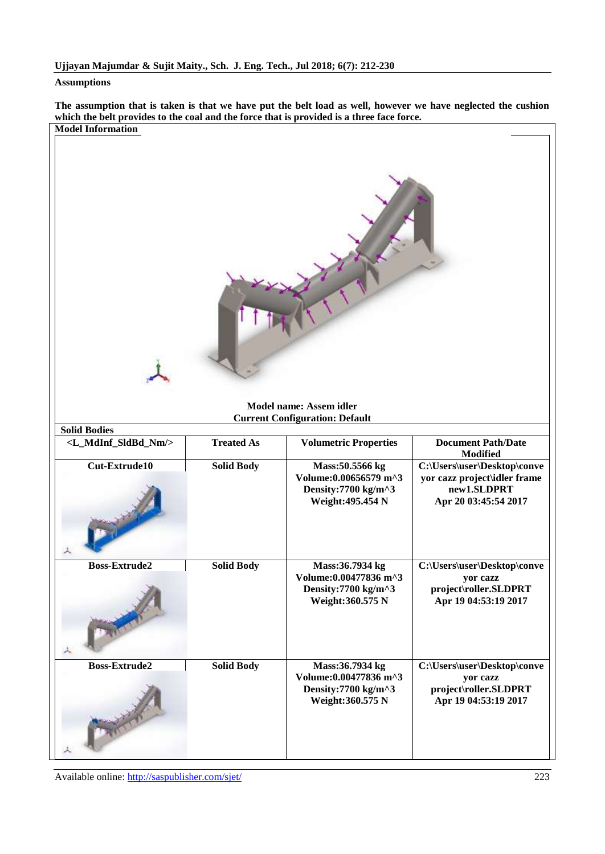#### <span id="page-11-0"></span>**Assumptions**

**The assumption that is taken is that we have put the belt load as well, however we have neglected the cushion which the belt provides to the coal and the force that is provided is a three face force. Model Information**

<span id="page-11-1"></span>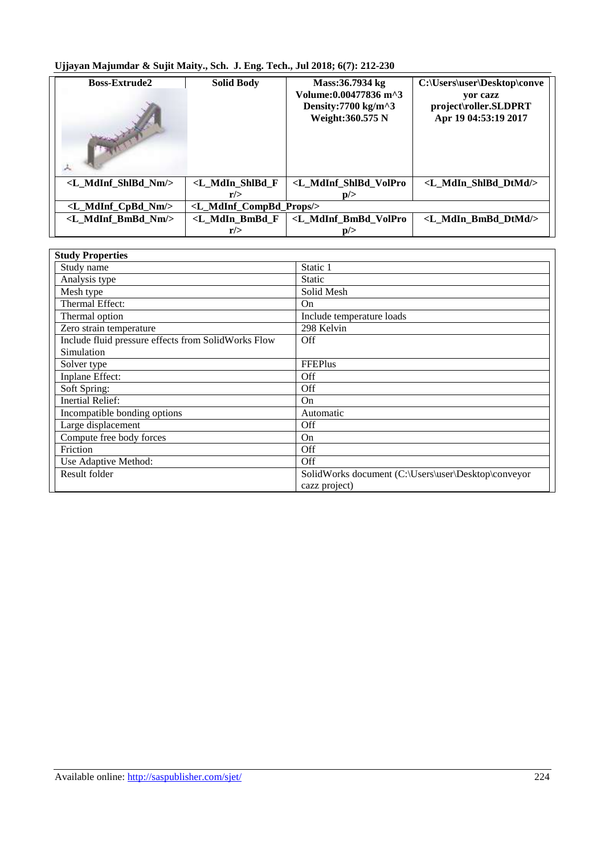| <b>Boss-Extrude2</b>                | <b>Solid Body</b>                                                                                                                           | Mass:36.7934 kg<br>Volume: 0.00477836 m^3<br>Density: $7700 \text{ kg/m}^3$<br>Weight: 360.575 N | C:\Users\user\Desktop\conve<br>yor cazz<br>project\roller.SLDPRT<br>Apr 19 04:53:19 2017 |
|-------------------------------------|---------------------------------------------------------------------------------------------------------------------------------------------|--------------------------------------------------------------------------------------------------|------------------------------------------------------------------------------------------|
| <l mdinf="" nm="" shlbd=""></l>     | <l f<="" mdin="" shlbd="" td=""><td><l mdinf="" shlbd="" td="" volpro<=""><td><l dtmd="" mdin="" shibd=""></l></td></l></td></l>            | <l mdinf="" shlbd="" td="" volpro<=""><td><l dtmd="" mdin="" shibd=""></l></td></l>              | <l dtmd="" mdin="" shibd=""></l>                                                         |
|                                     | r/                                                                                                                                          | p/>                                                                                              |                                                                                          |
| <l_mdinf_cpbd_nm></l_mdinf_cpbd_nm> | <l_mdinf_compbd_props></l_mdinf_compbd_props>                                                                                               |                                                                                                  |                                                                                          |
| <l bmbd="" mdinf="" nm=""></l>      | <l_mdin_bmbd_f< td=""><td><l_mdinf_bmbd_volpro< td=""><td><l bmbd="" dtmd="" mdin=""></l></td></l_mdinf_bmbd_volpro<></td></l_mdin_bmbd_f<> | <l_mdinf_bmbd_volpro< td=""><td><l bmbd="" dtmd="" mdin=""></l></td></l_mdinf_bmbd_volpro<>      | <l bmbd="" dtmd="" mdin=""></l>                                                          |
|                                     | r/                                                                                                                                          | p/>                                                                                              |                                                                                          |

<span id="page-12-0"></span>

| <b>Study Properties</b>                             |                                                     |
|-----------------------------------------------------|-----------------------------------------------------|
| Study name                                          | Static 1                                            |
| Analysis type                                       | <b>Static</b>                                       |
| Mesh type                                           | Solid Mesh                                          |
| Thermal Effect:                                     | On                                                  |
| Thermal option                                      | Include temperature loads                           |
| Zero strain temperature                             | 298 Kelvin                                          |
| Include fluid pressure effects from SolidWorks Flow | Off                                                 |
| Simulation                                          |                                                     |
| Solver type                                         | <b>FFEPlus</b>                                      |
| Inplane Effect:                                     | Off                                                 |
| Soft Spring:                                        | Off                                                 |
| <b>Inertial Relief:</b>                             | On                                                  |
| Incompatible bonding options                        | Automatic                                           |
| Large displacement                                  | Off                                                 |
| Compute free body forces                            | On                                                  |
| Friction                                            | <b>Off</b>                                          |
| Use Adaptive Method:                                | Off                                                 |
| Result folder                                       | SolidWorks document (C:\Users\user\Desktop\conveyor |
|                                                     | cazz project)                                       |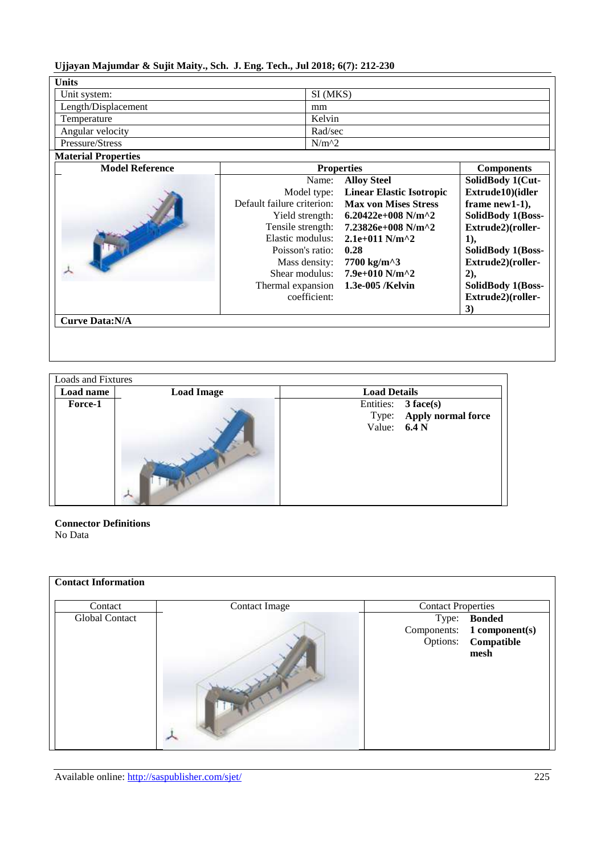<span id="page-13-0"></span>

| <b>Units</b>        |          |
|---------------------|----------|
| Unit system:        | SI (MKS) |
| Length/Displacement | mm       |
| Temperature         | Kelvin   |
| Angular velocity    | Rad/sec  |
| Pressure/Stress     | $N/m^2$  |

## <span id="page-13-1"></span>**Material Properties**

| <b>Model Reference</b> |                            | <b>Properties</b>                               | <b>Components</b> |
|------------------------|----------------------------|-------------------------------------------------|-------------------|
|                        | Name:                      | <b>Alloy Steel</b>                              | SolidBody 1(Cut-  |
|                        | Model type:                | <b>Linear Elastic Isotropic</b>                 | Extrude10)(idler  |
|                        | Default failure criterion: | <b>Max von Mises Stress</b>                     | frame $new1-1$ ,  |
|                        | Yield strength:            | 6.20422e+008 N/m^2                              | SolidBody 1(Boss- |
|                        | Tensile strength:          | 7.23826e+008 N/m^2                              | Extrude2)(roller- |
|                        | Elastic modulus:           | $2.1e+011$ N/m <sup><math>\wedge</math></sup> 2 | 1),               |
|                        | Poisson's ratio:           | 0.28                                            | SolidBody 1(Boss- |
|                        | Mass density:              | 7700 kg/m^3                                     | Extrude2)(roller- |
|                        | Shear modulus:             | $7.9e+010$ N/m <sup><math>\wedge</math></sup> 2 | $2)$ ,            |
|                        | Thermal expansion          | 1.3e-005 /Kelvin                                | SolidBody 1(Boss- |
|                        | coefficient:               |                                                 | Extrude2)(roller- |
|                        |                            |                                                 | 3)                |
| <b>Curve Data:N/A</b>  |                            |                                                 |                   |

<span id="page-13-2"></span>

| Loads and Fixtures |                   |                     |                                                 |
|--------------------|-------------------|---------------------|-------------------------------------------------|
| Load name          | <b>Load Image</b> | <b>Load Details</b> |                                                 |
| Force-1            |                   | Value: $6.4 N$      | Entities: 3 face(s)<br>Type: Apply normal force |

## <span id="page-13-3"></span>**Connector Definitions**

No Data

<span id="page-13-4"></span>

| <b>Contact Information</b><br>Contact | <b>Contact Image</b> | <b>Contact Properties</b> |                                                                           |
|---------------------------------------|----------------------|---------------------------|---------------------------------------------------------------------------|
| Global Contact                        |                      |                           | Type: Bonded<br>Components: 1 component(s)<br>Options: Compatible<br>mesh |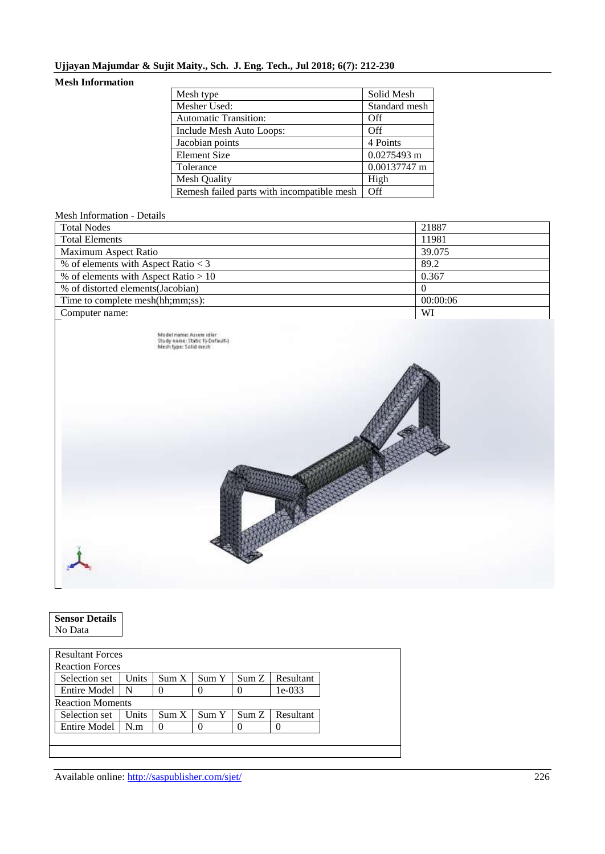## <span id="page-14-0"></span>**Mesh Information**

| Mesh type                                  | Solid Mesh    |
|--------------------------------------------|---------------|
| Mesher Used:                               | Standard mesh |
| <b>Automatic Transition:</b>               | Off           |
| Include Mesh Auto Loops:                   | Off           |
| Jacobian points                            | 4 Points      |
| <b>Element Size</b>                        | $0.0275493$ m |
| Tolerance                                  | 0.00137747 m  |
| Mesh Quality                               | High          |
| Remesh failed parts with incompatible mesh | Off           |

## Mesh Information - Details

| <b>Total Nodes</b>                     | 21887    |
|----------------------------------------|----------|
| <b>Total Elements</b>                  | 11981    |
| Maximum Aspect Ratio                   | 39.075   |
| % of elements with Aspect Ratio $<$ 3  | 89.2     |
| % of elements with Aspect Ratio $> 10$ | 0.367    |
| % of distorted elements (Jacobian)     |          |
| Time to complete mesh(hh;mm;ss):       | 00:00:06 |
| Computer name:                         | WI       |
|                                        |          |

| Model name: Assem idler<br>Study name: Static 1}-Default-)<br>Mesh type: Solid mesh |  |
|-------------------------------------------------------------------------------------|--|
|                                                                                     |  |
|                                                                                     |  |

<span id="page-14-1"></span>

| <b>Sensor Details</b> |  |
|-----------------------|--|
| No Data               |  |

<span id="page-14-2"></span>

| <b>Resultant Forces</b> |              |       |       |      |           |
|-------------------------|--------------|-------|-------|------|-----------|
| <b>Reaction Forces</b>  |              |       |       |      |           |
| Selection set           | <b>Units</b> | Sum X | Sum Y | SumZ | Resultant |
| Entire Model N          |              |       |       |      | $1e-033$  |
| <b>Reaction Moments</b> |              |       |       |      |           |
| Selection set           | Units        | Sum X | Sum Y | SumZ | Resultant |
| <b>Entire Model</b>     | N.m          |       |       |      |           |
|                         |              |       |       |      |           |
|                         |              |       |       |      |           |

Available online: <http://saspublisher.com/sjet/> 226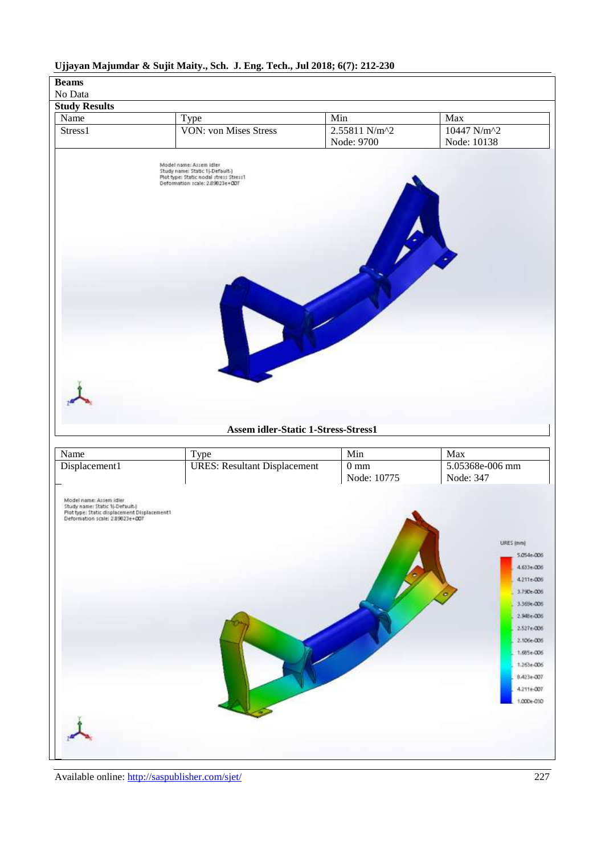# <span id="page-15-1"></span><span id="page-15-0"></span>**Beams** No Data **Study Results** Name Type Min Min Max Stress1 VON: von Mises Stress 2.55811 N/m<sup>2</sup> 10447 N/m^2 Node: 9700 Node: 10138 Model name: Assem idler<br>Study name: Static 1j-Default-)<br>Plot type: Static nodal stress Stress1<br>Deformation scale: 2.89821e+007 **Assem idler-Static 1-Stress-Stress1** Name Type Min Min Max Displacement1 VRES: Resultant Displacement 0 mm 5.05368e-006 mm Node: 347Node: 10775 Model name: Assem idler<br>Study name: Static 1(-Default-)<br>Plot type: Static displacement Displacement1<br>Deformation scale: 2.89823e+007 URES (mm) 5.054e-006 4.633e-006 4.211e-006 3.790e-006 3.369e-006 2.948e-006

## **Ujjayan Majumdar & Sujit Maity., Sch. J. Eng. Tech., Jul 2018; 6(7): 212-230**

Available online: <http://saspublisher.com/sjet/> 227

2.527e-006 2.106e-006 1.685e-006 1,263+205 8.423e-007 4.211e-007 1,000e-030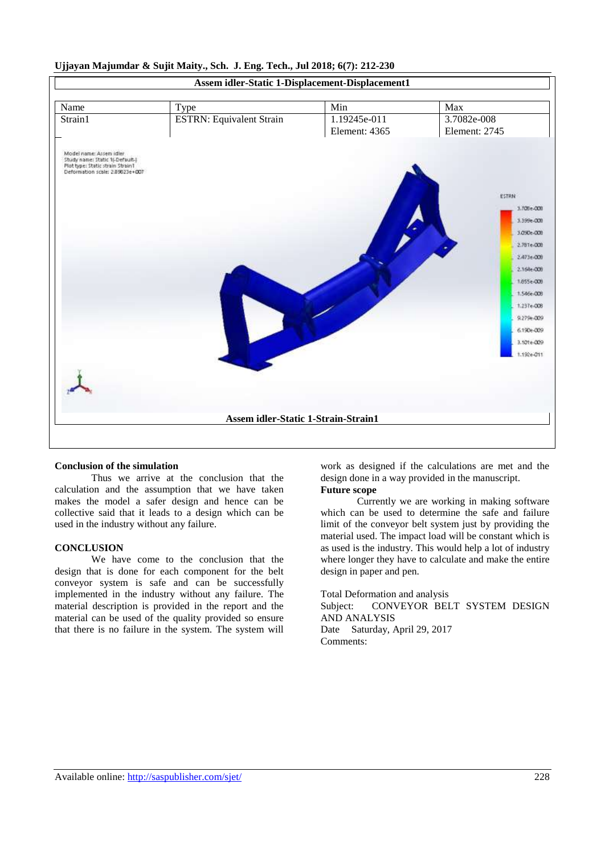

#### **Conclusion of the simulation**

Thus we arrive at the conclusion that the calculation and the assumption that we have taken makes the model a safer design and hence can be collective said that it leads to a design which can be used in the industry without any failure.

#### **CONCLUSION**

We have come to the conclusion that the design that is done for each component for the belt conveyor system is safe and can be successfully implemented in the industry without any failure. The material description is provided in the report and the material can be used of the quality provided so ensure that there is no failure in the system. The system will

work as designed if the calculations are met and the design done in a way provided in the manuscript.

## **Future scope**

Currently we are working in making software which can be used to determine the safe and failure limit of the conveyor belt system just by providing the material used. The impact load will be constant which is as used is the industry. This would help a lot of industry where longer they have to calculate and make the entire design in paper and pen.

Total Deformation and analysis Subject: CONVEYOR BELT SYSTEM DESIGN AND ANALYSIS Date Saturday, April 29, 2017 Comments: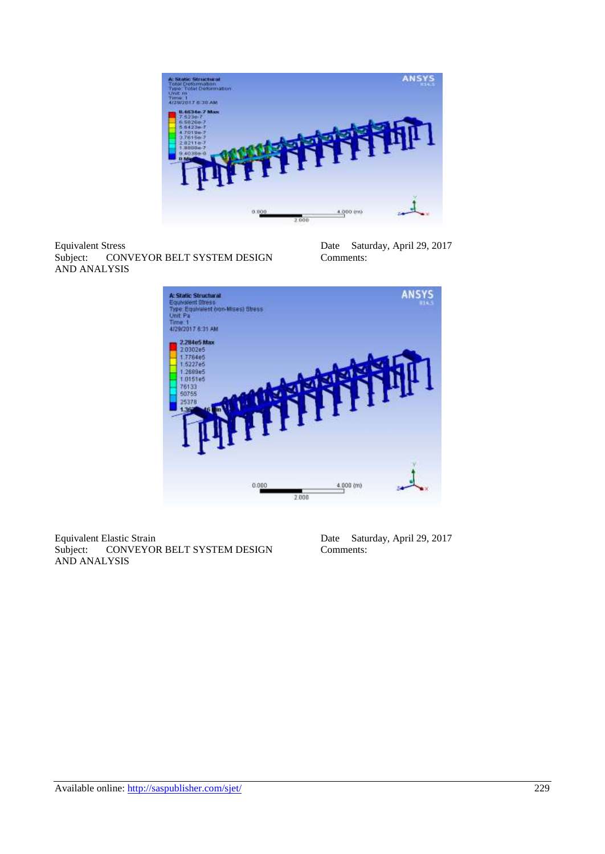

Equivalent Stress<br>Subject: CON CONVEYOR BELT SYSTEM DESIGN AND ANALYSIS

Date Saturday, April 29, 2017 Comments:



Equivalent Elastic Strain<br>Subject: CONVEYOI CONVEYOR BELT SYSTEM DESIGN AND ANALYSIS

Date Saturday, April 29, 2017 Comments: